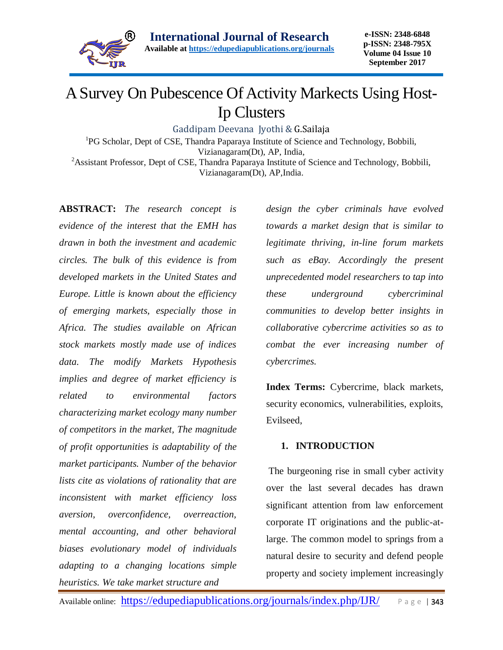

# A Survey On Pubescence Of Activity Markects Using Host-Ip Clusters

Gaddipam Deevana Jyothi & G.Sailaja

<sup>1</sup>PG Scholar, Dept of CSE, Thandra Paparaya Institute of Science and Technology, Bobbili, Vizianagaram(Dt), AP, India, <sup>2</sup> Assistant Professor, Dept of CSE, Thandra Paparaya Institute of Science and Technology, Bobbili,

Vizianagaram(Dt), AP,India.

**ABSTRACT:** *The research concept is evidence of the interest that the EMH has drawn in both the investment and academic circles. The bulk of this evidence is from developed markets in the United States and Europe. Little is known about the efficiency of emerging markets, especially those in Africa. The studies available on African stock markets mostly made use of indices data. The modify Markets Hypothesis implies and degree of market efficiency is related to environmental factors characterizing market ecology many number of competitors in the market, The magnitude of profit opportunities is adaptability of the market participants. Number of the behavior lists cite as violations of rationality that are inconsistent with market efficiency loss aversion, overconfidence, overreaction, mental accounting, and other behavioral biases evolutionary model of individuals adapting to a changing locations simple heuristics. We take market structure and* 

*design the cyber criminals have evolved towards a market design that is similar to legitimate thriving, in-line forum markets such as eBay. Accordingly the present unprecedented model researchers to tap into these underground cybercriminal communities to develop better insights in collaborative cybercrime activities so as to combat the ever increasing number of cybercrimes.*

**Index Terms:** Cybercrime, black markets, security economics, vulnerabilities, exploits, Evilseed,

# **1. INTRODUCTION**

The burgeoning rise in small cyber activity over the last several decades has drawn significant attention from law enforcement corporate IT originations and the public-atlarge. The common model to springs from a natural desire to security and defend people property and society implement increasingly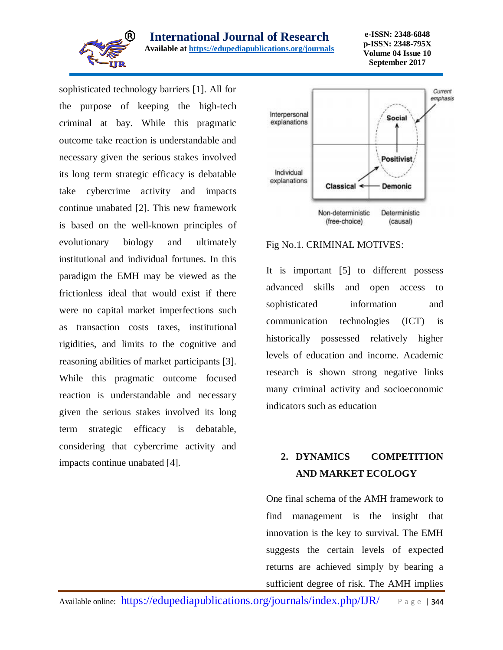

**International Journal of Research** 

**Available at<https://edupediapublications.org/journals>**

**e-ISSN: 2348-6848 p-ISSN: 2348-795X Volume 04 Issue 10 September 2017**

sophisticated technology barriers [1]. All for the purpose of keeping the high-tech criminal at bay. While this pragmatic outcome take reaction is understandable and necessary given the serious stakes involved its long term strategic efficacy is debatable take cybercrime activity and impacts continue unabated [2]. This new framework is based on the well-known principles of evolutionary biology and ultimately institutional and individual fortunes. In this paradigm the EMH may be viewed as the frictionless ideal that would exist if there were no capital market imperfections such as transaction costs taxes, institutional rigidities, and limits to the cognitive and reasoning abilities of market participants [3]. While this pragmatic outcome focused reaction is understandable and necessary given the serious stakes involved its long term strategic efficacy is debatable, considering that cybercrime activity and impacts continue unabated [4].



# Fig No.1. CRIMINAL MOTIVES:

It is important [5] to different possess advanced skills and open access to sophisticated information and communication technologies (ICT) is historically possessed relatively higher levels of education and income. Academic research is shown strong negative links many criminal activity and socioeconomic indicators such as education

# **2. DYNAMICS COMPETITION AND MARKET ECOLOGY**

One final schema of the AMH framework to find management is the insight that innovation is the key to survival. The EMH suggests the certain levels of expected returns are achieved simply by bearing a sufficient degree of risk. The AMH implies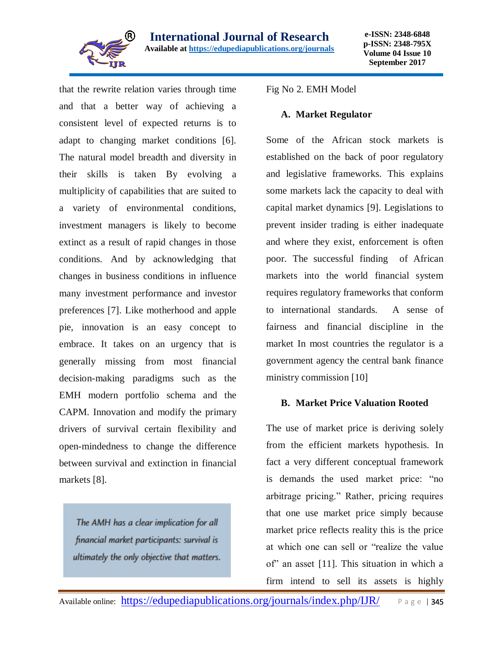

that the rewrite relation varies through time and that a better way of achieving a consistent level of expected returns is to adapt to changing market conditions [6]. The natural model breadth and diversity in their skills is taken By evolving a multiplicity of capabilities that are suited to a variety of environmental conditions, investment managers is likely to become extinct as a result of rapid changes in those conditions. And by acknowledging that changes in business conditions in influence many investment performance and investor preferences [7]. Like motherhood and apple pie, innovation is an easy concept to embrace. It takes on an urgency that is generally missing from most financial decision-making paradigms such as the EMH modern portfolio schema and the CAPM. Innovation and modify the primary drivers of survival certain flexibility and open-mindedness to change the difference between survival and extinction in financial markets [8].

The AMH has a clear implication for all financial market participants: survival is ultimately the only objective that matters. Fig No 2. EMH Model

#### **A. Market Regulator**

Some of the African stock markets is established on the back of poor regulatory and legislative frameworks. This explains some markets lack the capacity to deal with capital market dynamics [9]. Legislations to prevent insider trading is either inadequate and where they exist, enforcement is often poor. The successful finding of African markets into the world financial system requires regulatory frameworks that conform to international standards. A sense of fairness and financial discipline in the market In most countries the regulator is a government agency the central bank finance ministry commission [10]

# **B. Market Price Valuation Rooted**

The use of market price is deriving solely from the efficient markets hypothesis. In fact a very different conceptual framework is demands the used market price: "no arbitrage pricing." Rather, pricing requires that one use market price simply because market price reflects reality this is the price at which one can sell or "realize the value of" an asset [11]. This situation in which a firm intend to sell its assets is highly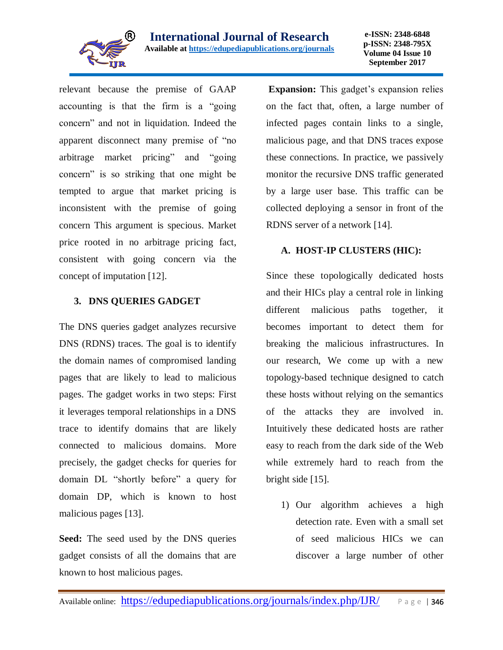

relevant because the premise of GAAP accounting is that the firm is a "going concern" and not in liquidation. Indeed the apparent disconnect many premise of "no arbitrage market pricing" and "going concern" is so striking that one might be tempted to argue that market pricing is inconsistent with the premise of going concern This argument is specious. Market price rooted in no arbitrage pricing fact, consistent with going concern via the concept of imputation [12].

# **3. DNS QUERIES GADGET**

The DNS queries gadget analyzes recursive DNS (RDNS) traces. The goal is to identify the domain names of compromised landing pages that are likely to lead to malicious pages. The gadget works in two steps: First it leverages temporal relationships in a DNS trace to identify domains that are likely connected to malicious domains. More precisely, the gadget checks for queries for domain DL "shortly before" a query for domain DP, which is known to host malicious pages [13].

**Seed:** The seed used by the DNS queries gadget consists of all the domains that are known to host malicious pages.

**Expansion:** This gadget's expansion relies on the fact that, often, a large number of infected pages contain links to a single, malicious page, and that DNS traces expose these connections. In practice, we passively monitor the recursive DNS traffic generated by a large user base. This traffic can be collected deploying a sensor in front of the RDNS server of a network [14].

# **A. HOST-IP CLUSTERS (HIC):**

Since these topologically dedicated hosts and their HICs play a central role in linking different malicious paths together, it becomes important to detect them for breaking the malicious infrastructures. In our research, We come up with a new topology-based technique designed to catch these hosts without relying on the semantics of the attacks they are involved in. Intuitively these dedicated hosts are rather easy to reach from the dark side of the Web while extremely hard to reach from the bright side [15].

1) Our algorithm achieves a high detection rate. Even with a small set of seed malicious HICs we can discover a large number of other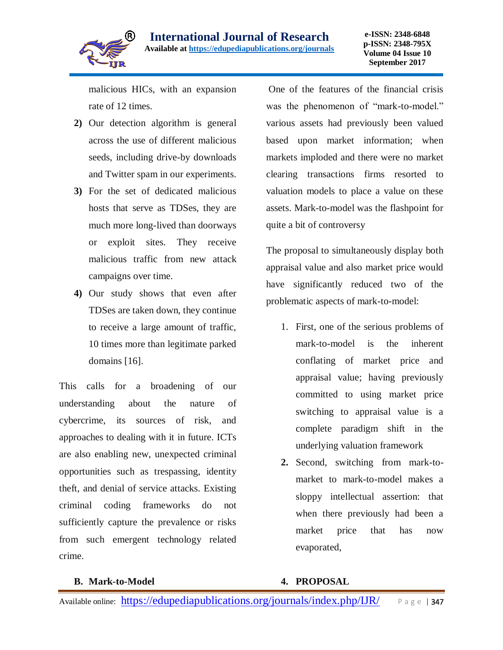

malicious HICs, with an expansion rate of 12 times.

- **2)** Our detection algorithm is general across the use of different malicious seeds, including drive-by downloads and Twitter spam in our experiments.
- **3)** For the set of dedicated malicious hosts that serve as TDSes, they are much more long-lived than doorways or exploit sites. They receive malicious traffic from new attack campaigns over time.
- **4)** Our study shows that even after TDSes are taken down, they continue to receive a large amount of traffic, 10 times more than legitimate parked domains [16].

This calls for a broadening of our understanding about the nature of cybercrime, its sources of risk, and approaches to dealing with it in future. ICTs are also enabling new, unexpected criminal opportunities such as trespassing, identity theft, and denial of service attacks. Existing criminal coding frameworks do not sufficiently capture the prevalence or risks from such emergent technology related crime.

One of the features of the financial crisis was the phenomenon of "mark-to-model." various assets had previously been valued based upon market information; when markets imploded and there were no market clearing transactions firms resorted to valuation models to place a value on these assets. Mark-to-model was the flashpoint for quite a bit of controversy

The proposal to simultaneously display both appraisal value and also market price would have significantly reduced two of the problematic aspects of mark-to-model:

- 1. First, one of the serious problems of mark-to-model is the inherent conflating of market price and appraisal value; having previously committed to using market price switching to appraisal value is a complete paradigm shift in the underlying valuation framework
- **2.** Second, switching from mark-tomarket to mark-to-model makes a sloppy intellectual assertion: that when there previously had been a market price that has now evaporated,

#### **B. Mark-to-Model**

# **4. PROPOSAL**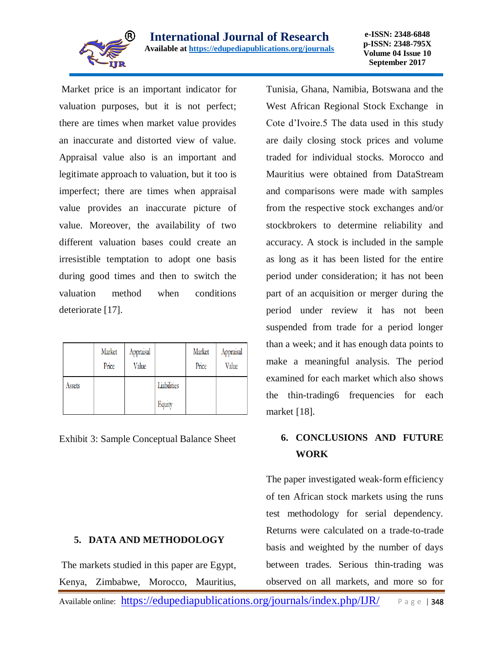

**e-ISSN: 2348-6848 p-ISSN: 2348-795X Volume 04 Issue 10 September 2017**

Market price is an important indicator for valuation purposes, but it is not perfect; there are times when market value provides an inaccurate and distorted view of value. Appraisal value also is an important and legitimate approach to valuation, but it too is imperfect; there are times when appraisal value provides an inaccurate picture of value. Moreover, the availability of two different valuation bases could create an irresistible temptation to adopt one basis during good times and then to switch the valuation method when conditions deteriorate [17].

|        | Market<br>Price | Appraisal<br>Value |                       | Market<br>Price | Appraisal<br>Value |
|--------|-----------------|--------------------|-----------------------|-----------------|--------------------|
| Assets |                 |                    | Liabilities<br>Equity |                 |                    |

Exhibit 3: Sample Conceptual Balance Sheet

# **5. DATA AND METHODOLOGY**

The markets studied in this paper are Egypt, Kenya, Zimbabwe, Morocco, Mauritius,

Tunisia, Ghana, Namibia, Botswana and the West African Regional Stock Exchange in Cote d'Ivoire.5 The data used in this study are daily closing stock prices and volume traded for individual stocks. Morocco and Mauritius were obtained from DataStream and comparisons were made with samples from the respective stock exchanges and/or stockbrokers to determine reliability and accuracy. A stock is included in the sample as long as it has been listed for the entire period under consideration; it has not been part of an acquisition or merger during the period under review it has not been suspended from trade for a period longer than a week; and it has enough data points to make a meaningful analysis. The period examined for each market which also shows the thin-trading6 frequencies for each market [18].

# **6. CONCLUSIONS AND FUTURE WORK**

The paper investigated weak-form efficiency of ten African stock markets using the runs test methodology for serial dependency. Returns were calculated on a trade-to-trade basis and weighted by the number of days between trades. Serious thin-trading was observed on all markets, and more so for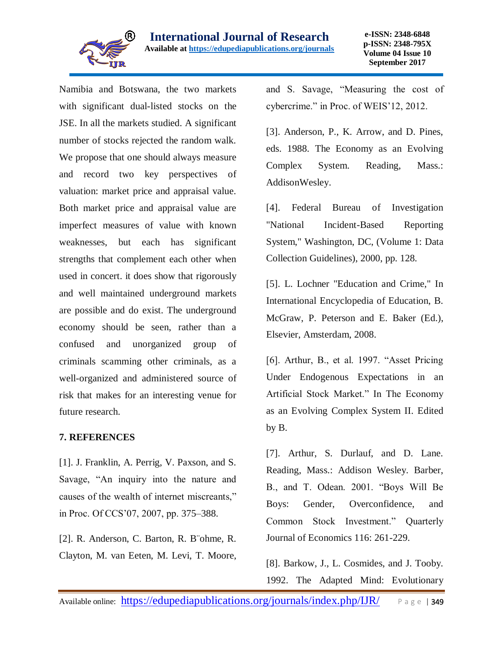

Namibia and Botswana, the two markets with significant dual-listed stocks on the JSE. In all the markets studied. A significant number of stocks rejected the random walk. We propose that one should always measure and record two key perspectives of valuation: market price and appraisal value. Both market price and appraisal value are imperfect measures of value with known weaknesses, but each has significant strengths that complement each other when used in concert. it does show that rigorously and well maintained underground markets are possible and do exist. The underground economy should be seen, rather than a confused and unorganized group of criminals scamming other criminals, as a well-organized and administered source of risk that makes for an interesting venue for future research.

# **7. REFERENCES**

[1]. J. Franklin, A. Perrig, V. Paxson, and S. Savage, "An inquiry into the nature and causes of the wealth of internet miscreants," in Proc. Of CCS'07, 2007, pp. 375–388.

[2]. R. Anderson, C. Barton, R. B¨ohme, R. Clayton, M. van Eeten, M. Levi, T. Moore, and S. Savage, "Measuring the cost of cybercrime." in Proc. of WEIS'12, 2012.

[3]. Anderson, P., K. Arrow, and D. Pines, eds. 1988. The Economy as an Evolving Complex System. Reading, Mass.: AddisonWesley.

[4]. Federal Bureau of Investigation "National Incident-Based Reporting System," Washington, DC, (Volume 1: Data Collection Guidelines), 2000, pp. 128.

[5]. L. Lochner "Education and Crime," In International Encyclopedia of Education, B. McGraw, P. Peterson and E. Baker (Ed.), Elsevier, Amsterdam, 2008.

[6]. Arthur, B., et al. 1997. "Asset Pricing Under Endogenous Expectations in an Artificial Stock Market." In The Economy as an Evolving Complex System II. Edited by B.

[7]. Arthur, S. Durlauf, and D. Lane. Reading, Mass.: Addison Wesley. Barber, B., and T. Odean. 2001. "Boys Will Be Boys: Gender, Overconfidence, and Common Stock Investment." Quarterly Journal of Economics 116: 261-229.

[8]. Barkow, J., L. Cosmides, and J. Tooby. 1992. The Adapted Mind: Evolutionary